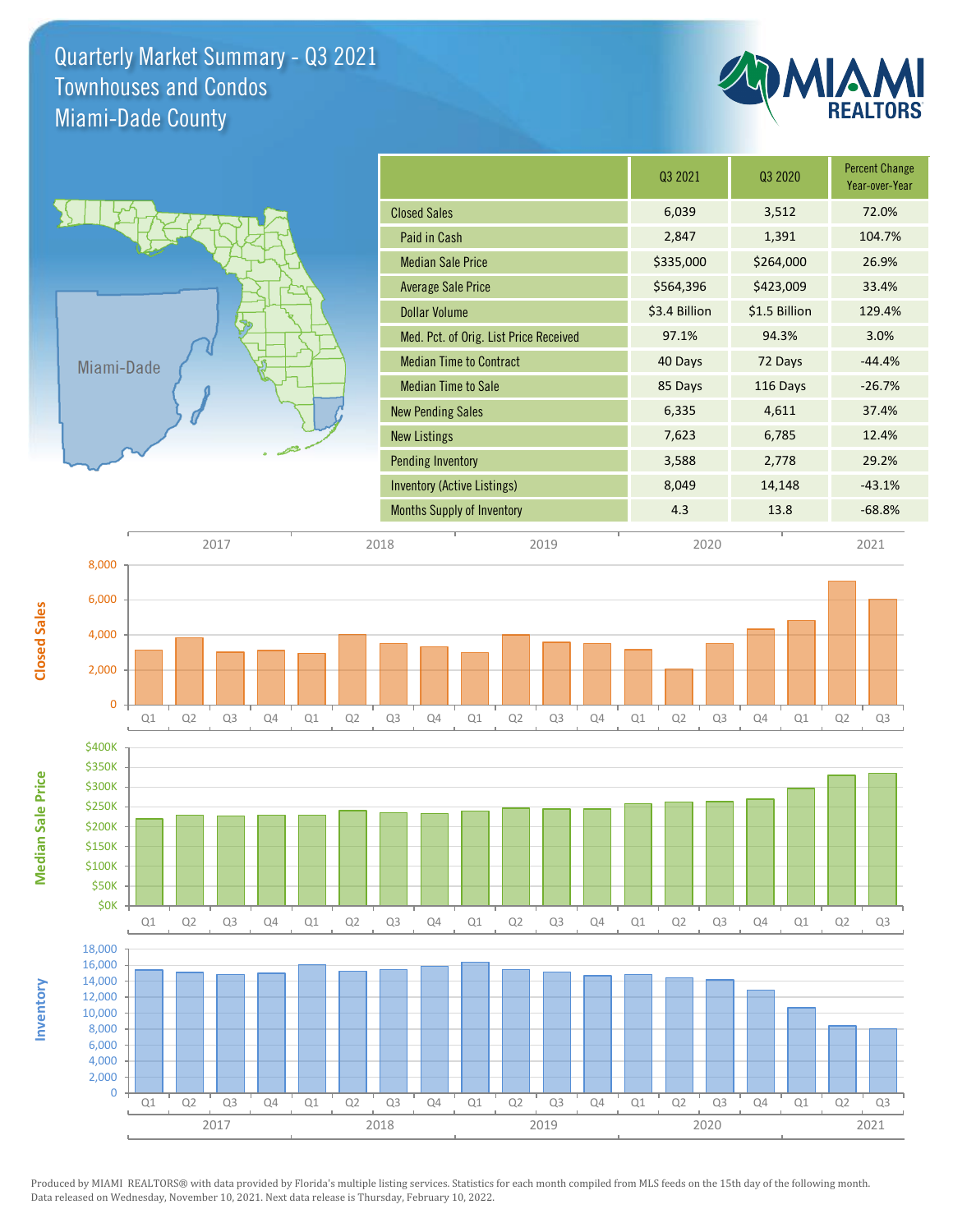Quarterly Market Summary - Q3 2021 Miami-Dade County Townhouses and Condos





|                                        | Q3 2021       | Q <sub>3</sub> 2020 | <b>Percent Change</b><br>Year-over-Year |
|----------------------------------------|---------------|---------------------|-----------------------------------------|
| <b>Closed Sales</b>                    | 6,039         | 3,512               | 72.0%                                   |
| Paid in Cash                           | 2,847         | 1,391               | 104.7%                                  |
| <b>Median Sale Price</b>               | \$335,000     | \$264,000           | 26.9%                                   |
| <b>Average Sale Price</b>              | \$564,396     | \$423,009           | 33.4%                                   |
| <b>Dollar Volume</b>                   | \$3.4 Billion | \$1.5 Billion       | 129.4%                                  |
| Med. Pct. of Orig. List Price Received | 97.1%         | 94.3%               | 3.0%                                    |
| <b>Median Time to Contract</b>         | 40 Days       | 72 Days             | $-44.4%$                                |
| <b>Median Time to Sale</b>             | 85 Days       | 116 Days            | $-26.7%$                                |
| <b>New Pending Sales</b>               | 6,335         | 4,611               | 37.4%                                   |
| <b>New Listings</b>                    | 7,623         | 6,785               | 12.4%                                   |
| <b>Pending Inventory</b>               | 3,588         | 2,778               | 29.2%                                   |
| <b>Inventory (Active Listings)</b>     | 8,049         | 14,148              | $-43.1%$                                |
| <b>Months Supply of Inventory</b>      | 4.3           | 13.8                | $-68.8%$                                |
|                                        |               |                     |                                         |

2017 2018 2019 2020 2021





0

6,000

8,000

**Closed Sales**

Produced by MIAMI REALTORS® with data provided by Florida's multiple listing services. Statistics for each month compiled from MLS feeds on the 15th day of the following month. Data released on Wednesday, November 10, 2021. Next data release is Thursday, February 10, 2022.